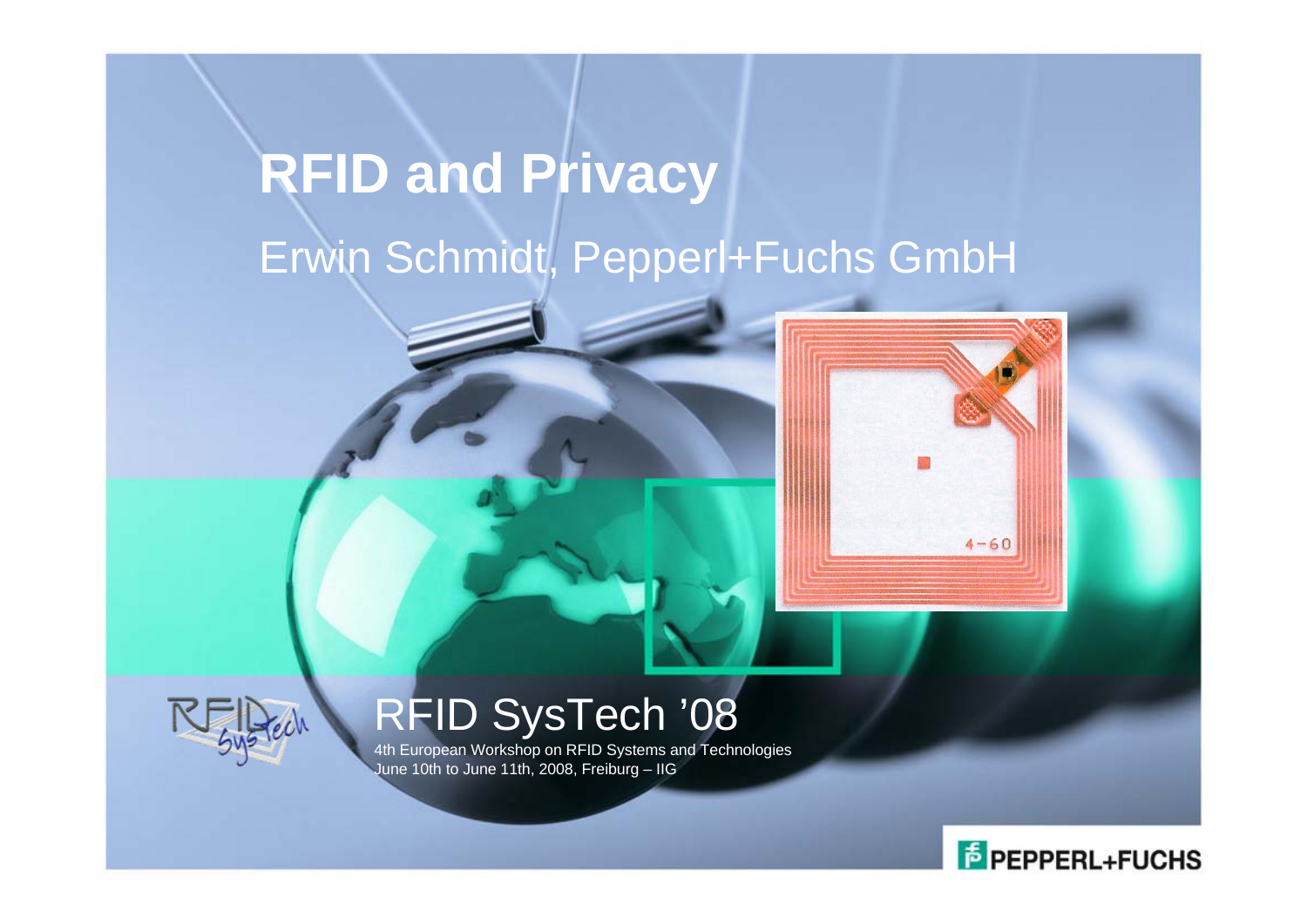# **RFID and Privacy** Erwin Schmidt, Pepperl+Fuchs GmbH



# RFID SysTech '08

4th European Workshop on RFID Systems and Technologies June 10th to June 11th, 2008, Freiburg – IIG



 $4 - 60$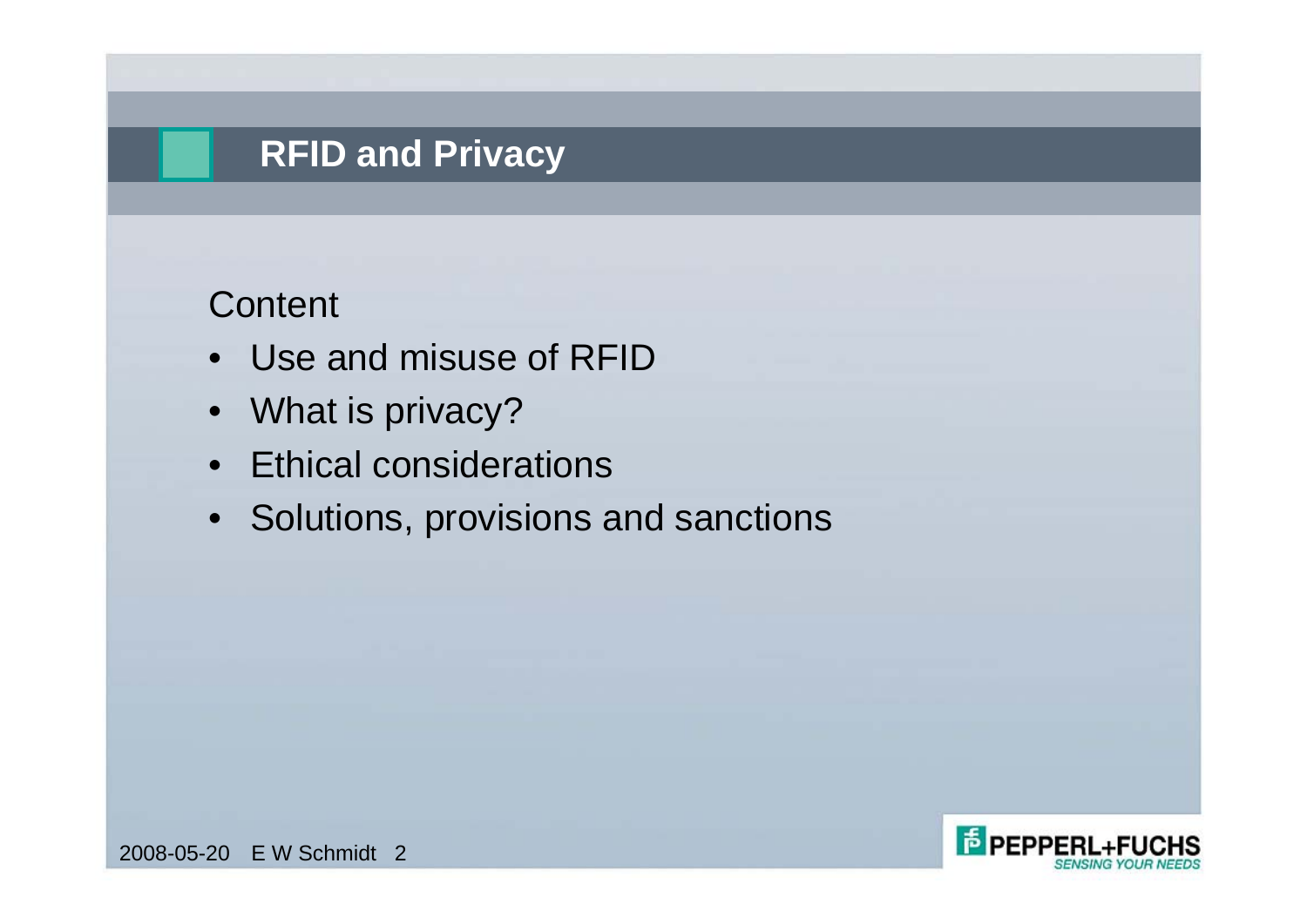# **RFID and Privacy**

#### **Content**

- Use and misuse of RFID
- What is privacy?
- Ethical considerations
- Solutions, provisions and sanctions

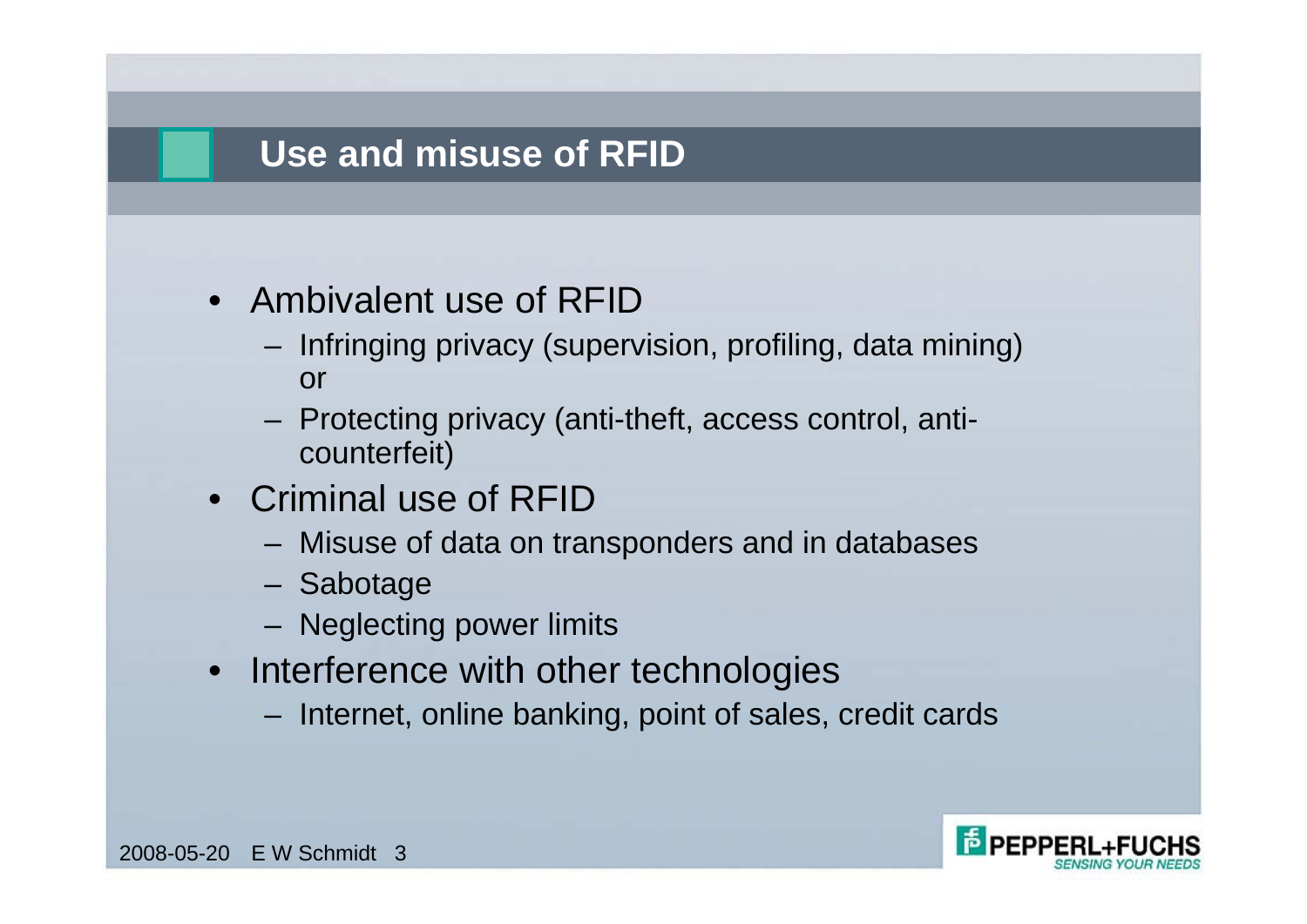## **Use and misuse of RFID**

- Ambivalent use of RFID
	- Infringing privacy (supervision, profiling, data mining) or
	- Protecting privacy (anti-theft, access control, anticounterfeit)
- Criminal use of RFID
	- Misuse of data on transponders and in databases
	- Sabotage
	- Neglecting power limits
- Interference with other technologies
	- Internet, online banking, point of sales, credit cards

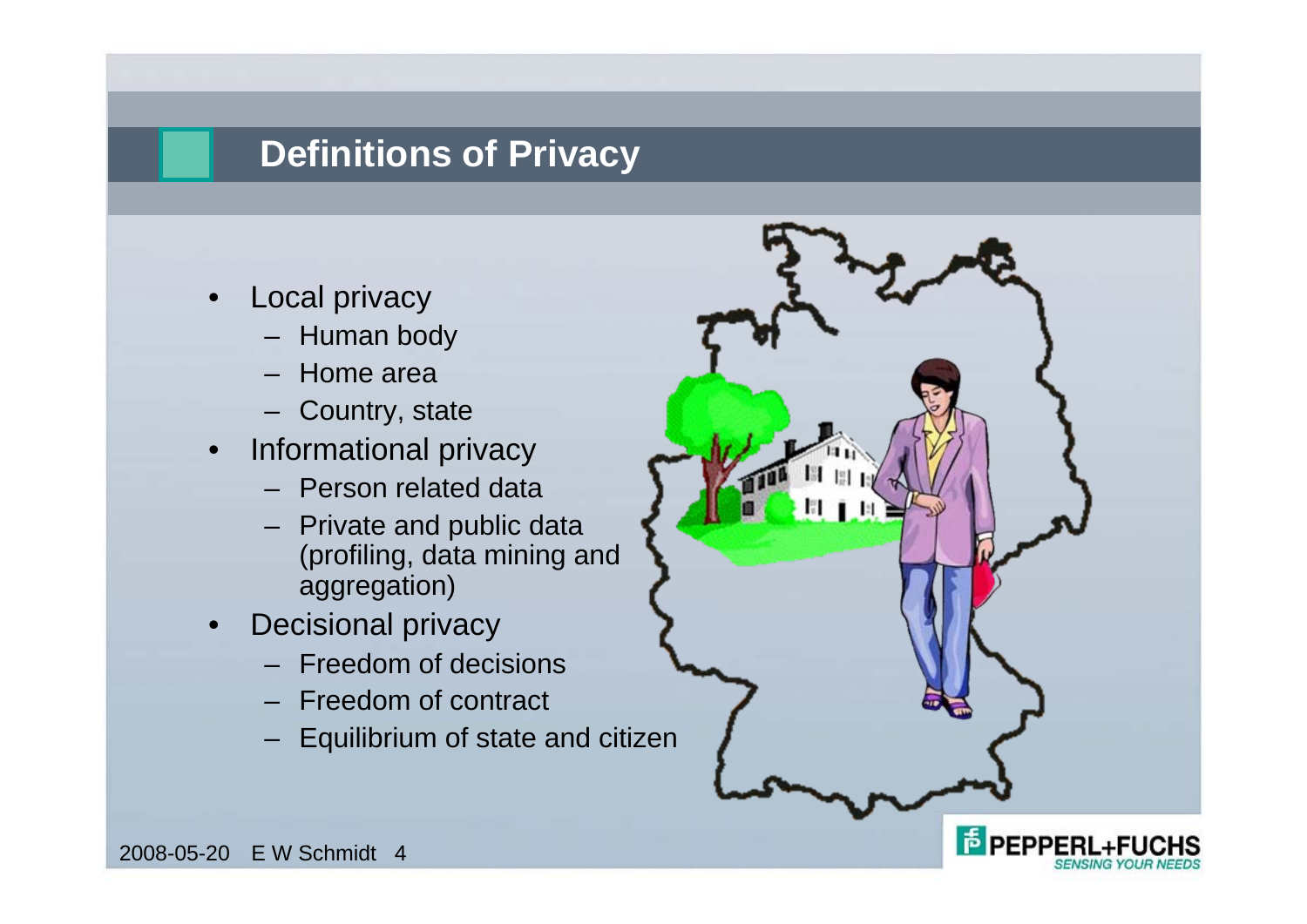### **Definitions of Privacy**

- Local privacy
	- Human body
	- Home area
	- Country, state
- Informational privacy
	- Person related data
	- Private and public data (profiling, data mining and aggregation)
- Decisional privacy
	- Freedom of decisions
	- Freedom of contract
	- Equilibrium of state and citizen

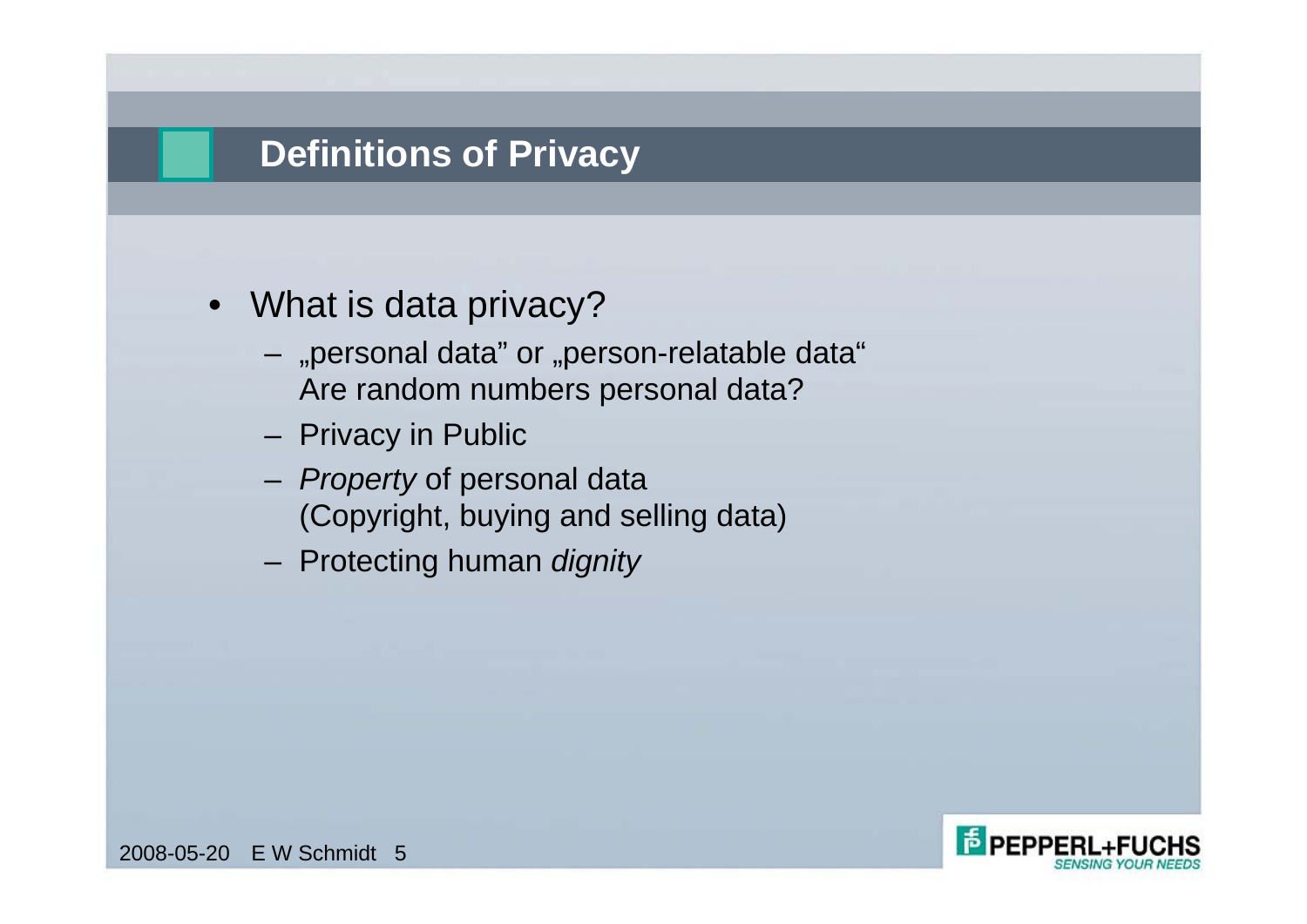#### **Definitions of Privacy**

- What is data privacy?
	- "personal data" or "person-relatable data" Are random numbers personal data?
	- Privacy in Public
	- *Property* of personal data (Copyright, buying and selling data)
	- Protecting human *dignity*

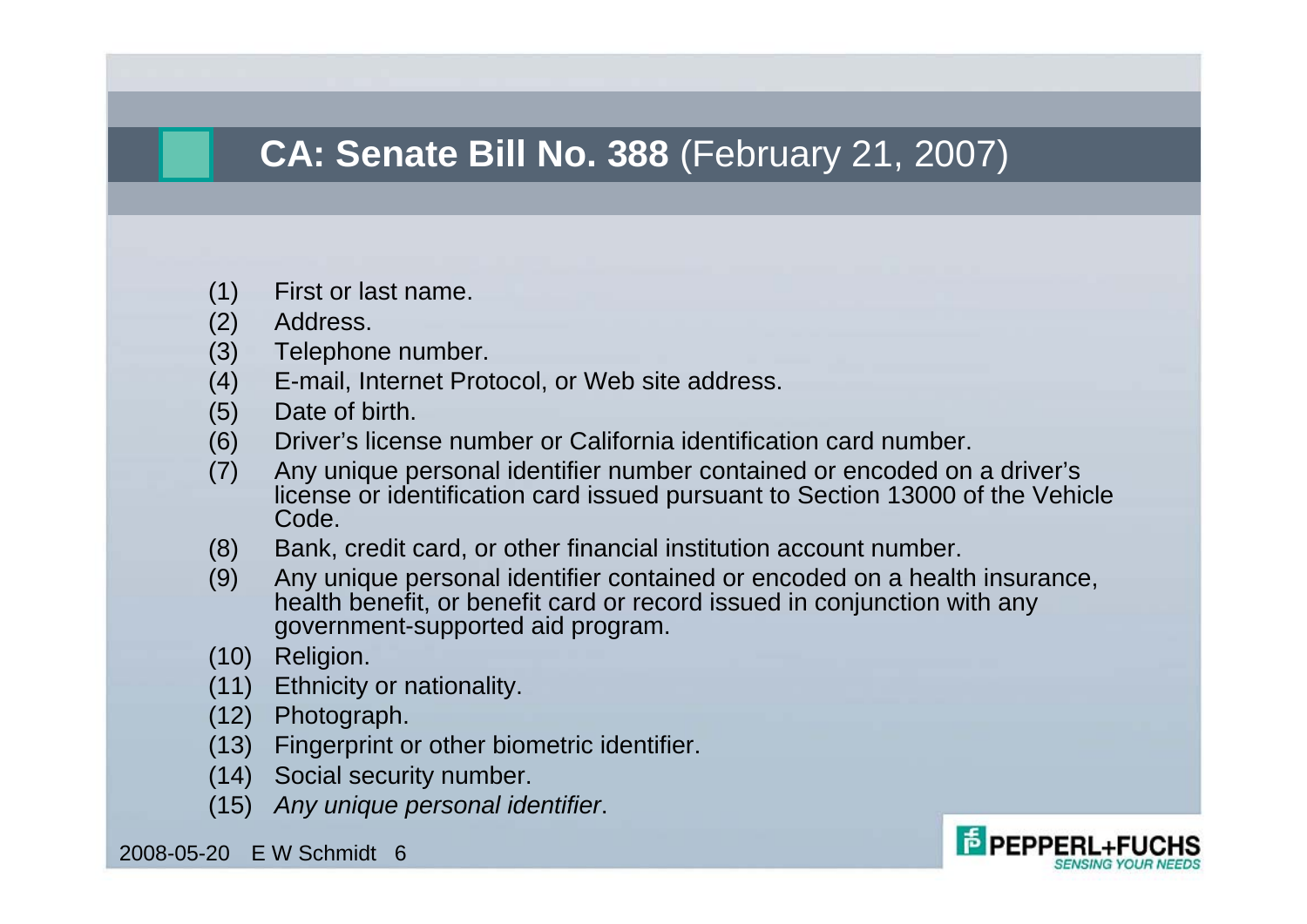# **CA: Senate Bill No. 388** (February 21, 2007)

- (1) First or last name.
- (2) Address.
- (3) Telephone number.
- (4) E-mail, Internet Protocol, or Web site address.
- (5) Date of birth.
- (6) Driver's license number or California identification card number.
- (7) Any unique personal identifier number contained or encoded on a driver's license or identification card issued pursuant to Section 13000 of the Vehicle Code.
- (8) Bank, credit card, or other financial institution account number.
- (9) Any unique personal identifier contained or encoded on a health insurance, health benefit, or benefit card or record issued in conjunction with any government-supported aid program.
- (10) Religion.
- (11) Ethnicity or nationality.
- (12) Photograph.
- (13) Fingerprint or other biometric identifier.
- (14) Social security number.
- (15) *Any unique personal identifier*.

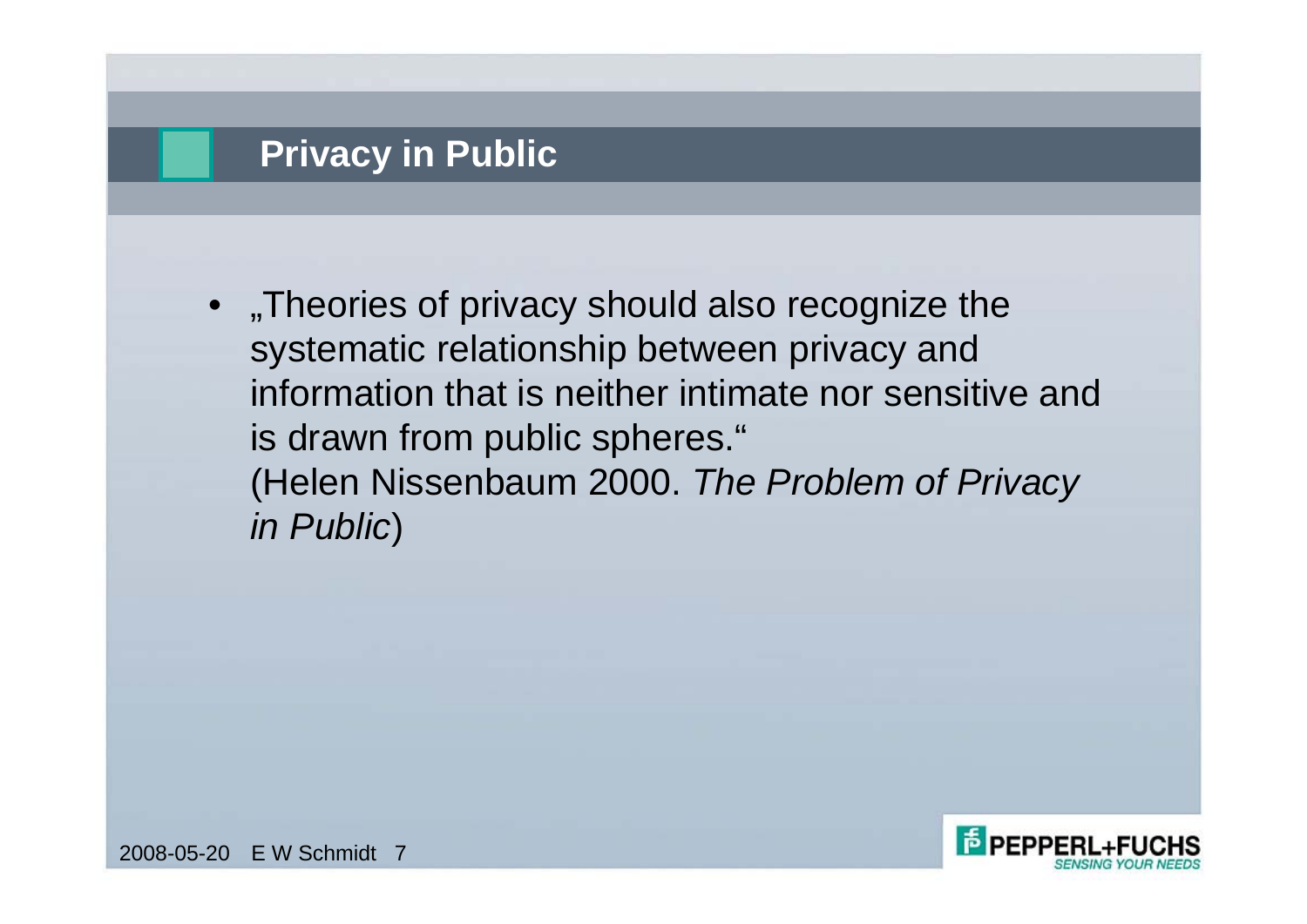#### **Privacy in Public**

Theories of privacy should also recognize the systematic relationship between privacy and information that is neither intimate nor sensitive and is drawn from public spheres." (Helen Nissenbaum 2000. *The Problem of Privacy in Public*)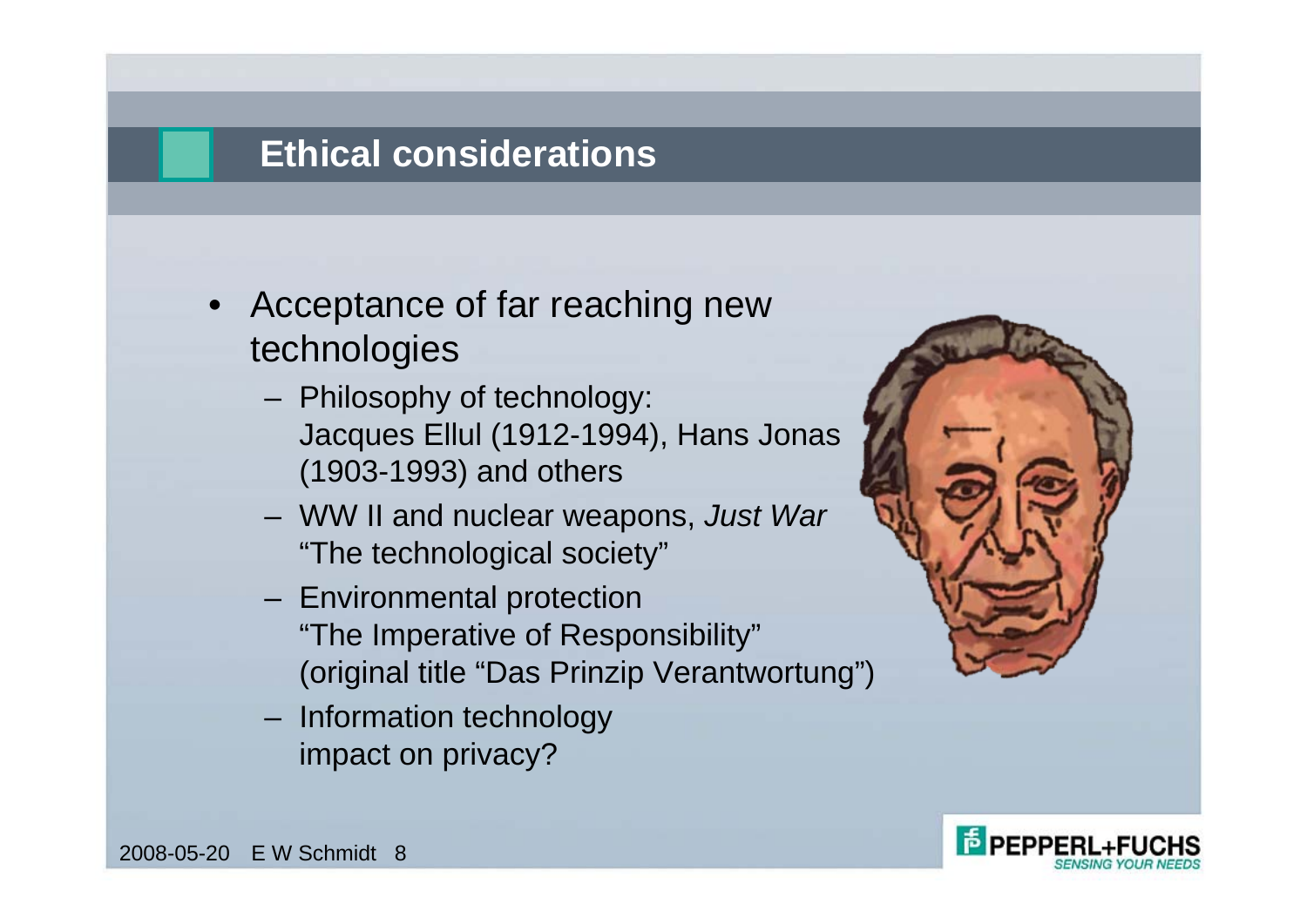## **Ethical considerations**

- Acceptance of far reaching new technologies
	- Philosophy of technology: Jacques Ellul (1912-1994), Hans Jonas (1903-1993) and others
	- WW II and nuclear weapons, *Just War*  "The technological society"
	- Environmental protection "The Imperative of Responsibility" (original title "Das Prinzip Verantwortung")
	- Information technology impact on privacy?



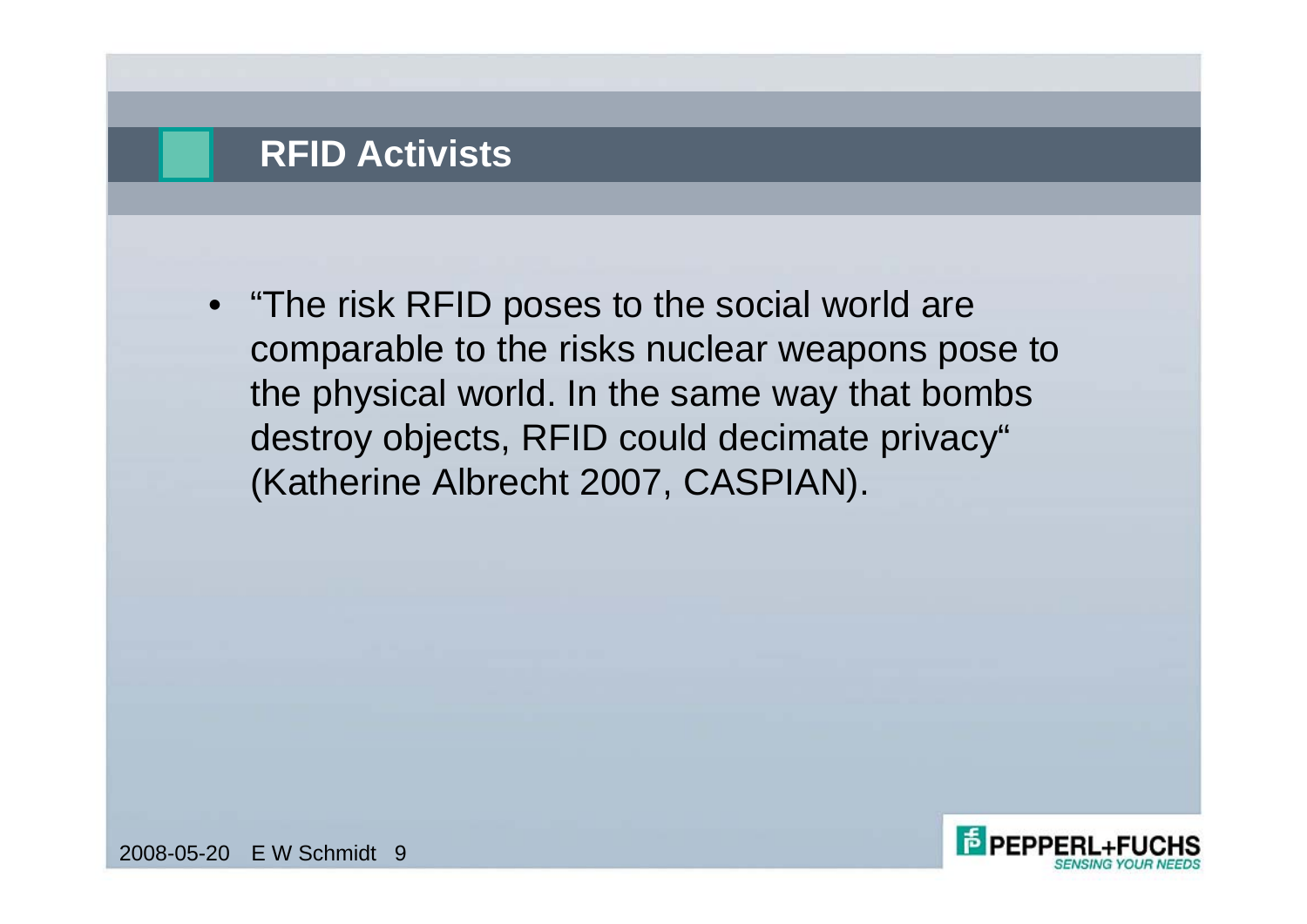### **RFID Activists**

• "The risk RFID poses to the social world are comparable to the risks nuclear weapons pose to the physical world. In the same way that bombs destroy objects, RFID could decimate privacy" (Katherine Albrecht 2007, CASPIAN).

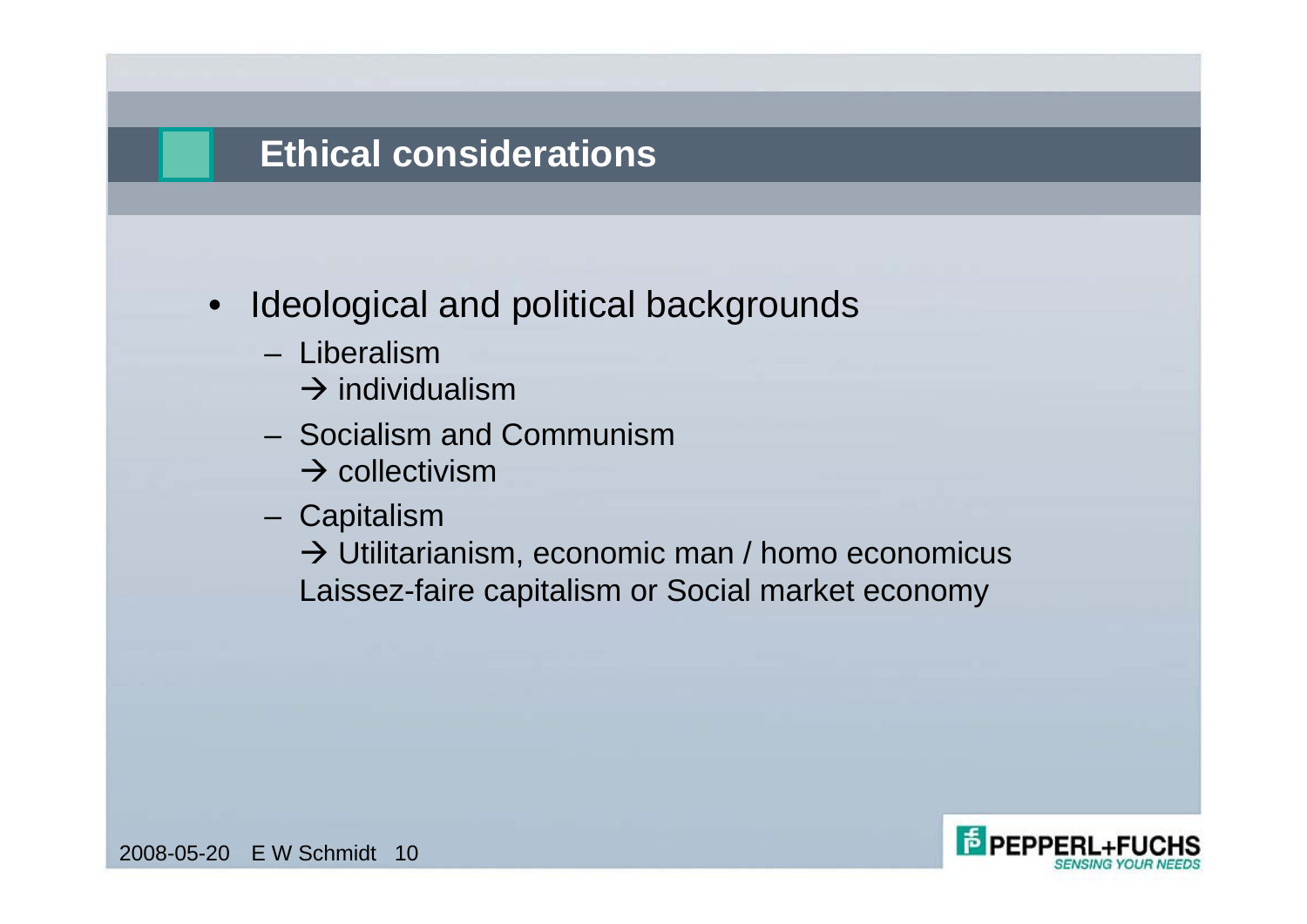#### **Ethical considerations**

- Ideological and political backgrounds
	- Liberalism
		- $\rightarrow$  individualism
	- Socialism and Communism
		- $\rightarrow$  collectivism
	- Capitalism

 $\rightarrow$  Utilitarianism, economic man / homo economicus Laissez-faire capitalism or Social market economy

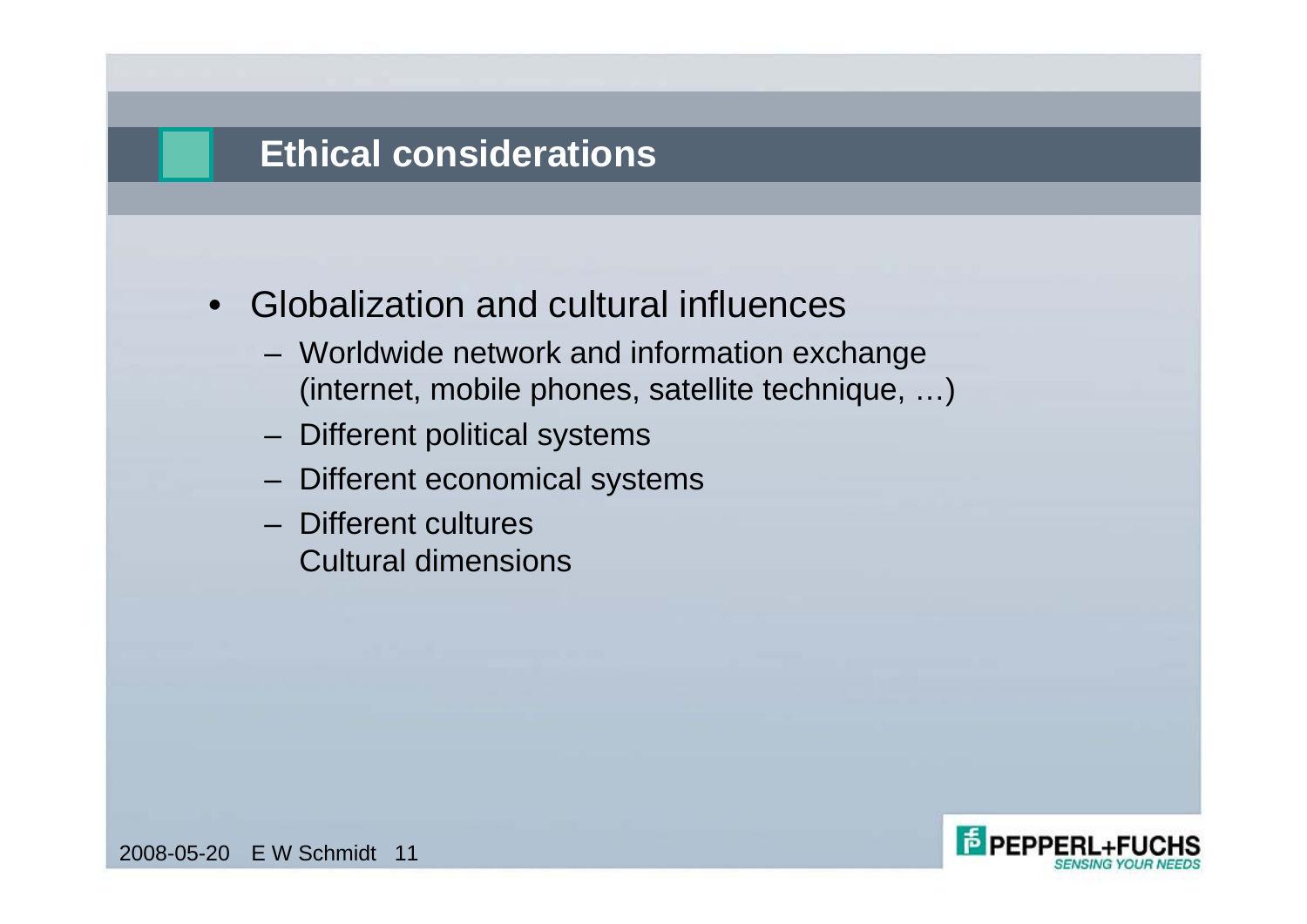#### **Ethical considerations**

- Globalization and cultural influences
	- Worldwide network and information exchange (internet, mobile phones, satellite technique, …)
	- Different political systems
	- Different economical systems
	- Different cultures Cultural dimensions

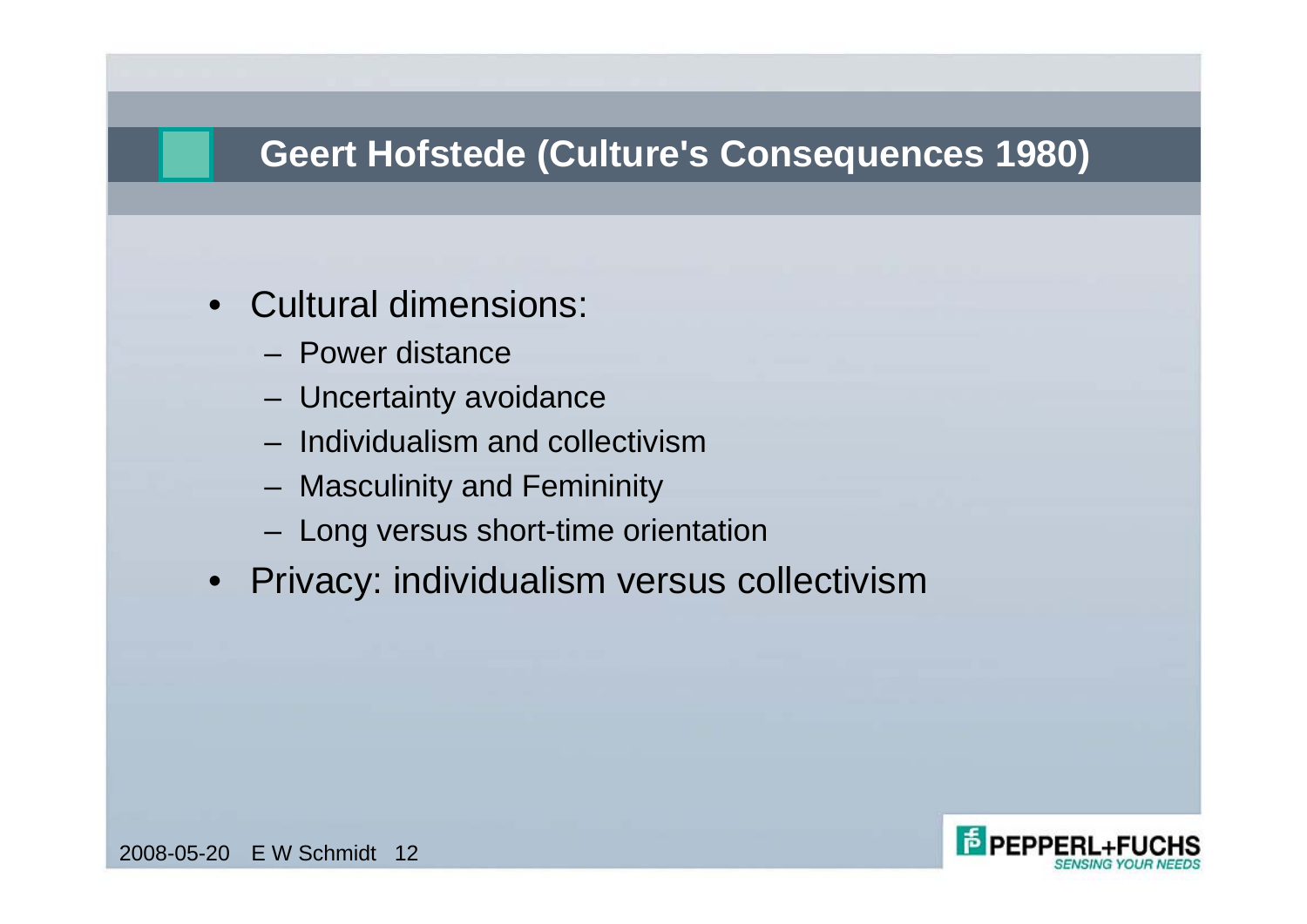# **Geert Hofstede (Culture's Consequences 1980)**

- Cultural dimensions:
	- Power distance
	- Uncertainty avoidance
	- Individualism and collectivism
	- Masculinity and Femininity
	- Long versus short-time orientation
- Privacy: individualism versus collectivism

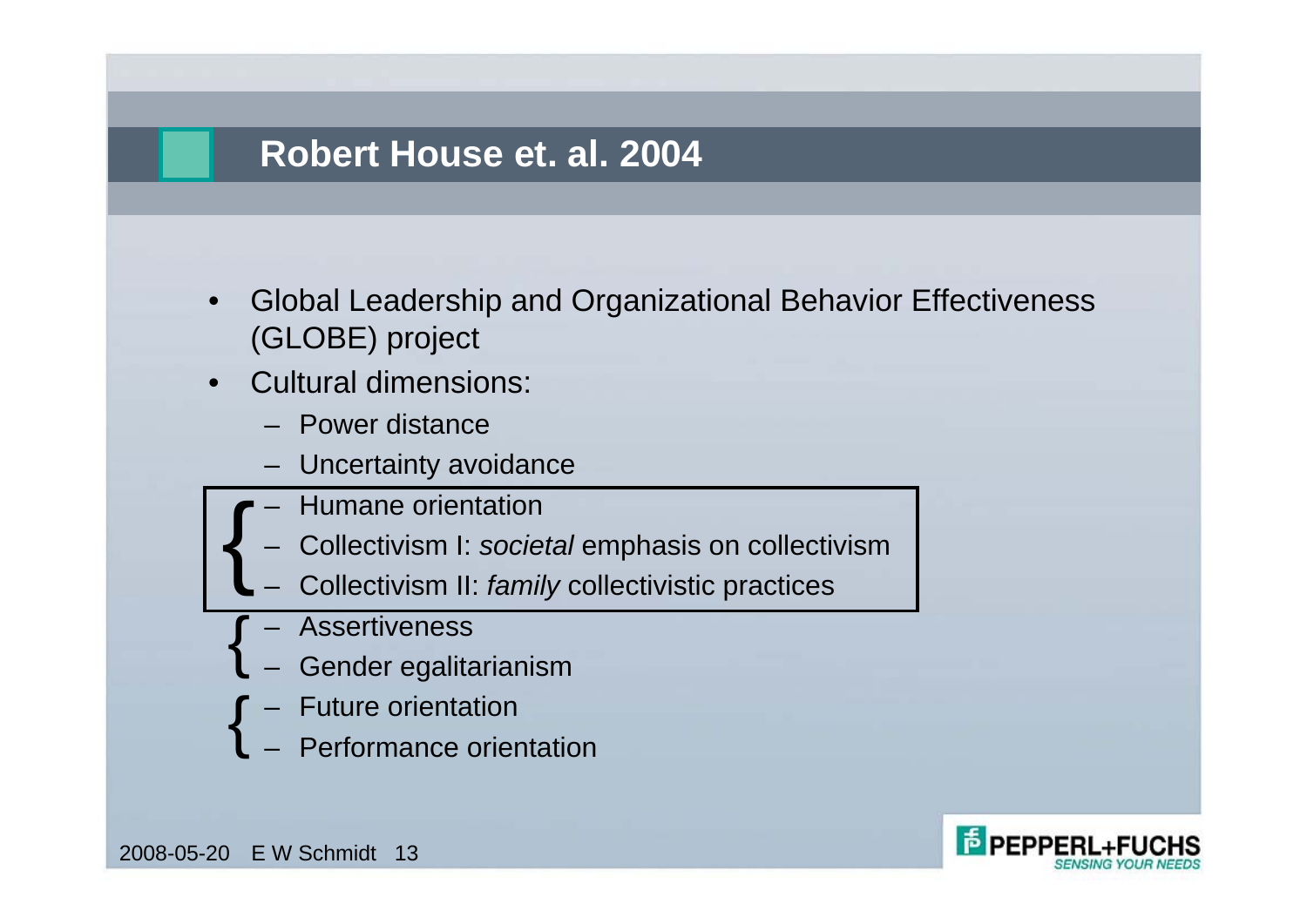#### **Robert House et. al. 2004**

- Global Leadership and Organizational Behavior Effectiveness (GLOBE) project
- Cultural dimensions:
	- Power distance
	- Uncertainty avoidance
	- Humane orientation {
		- Collectivism I: *societal* emphasis on collectivism
		- Collectivism II: *family* collectivistic practices
		- Assertiveness
		- Gender egalitarianism
		- Future orientation
	- Performance orientation{<br>}



2008-05-20 E W Schmidt 13

{<br>{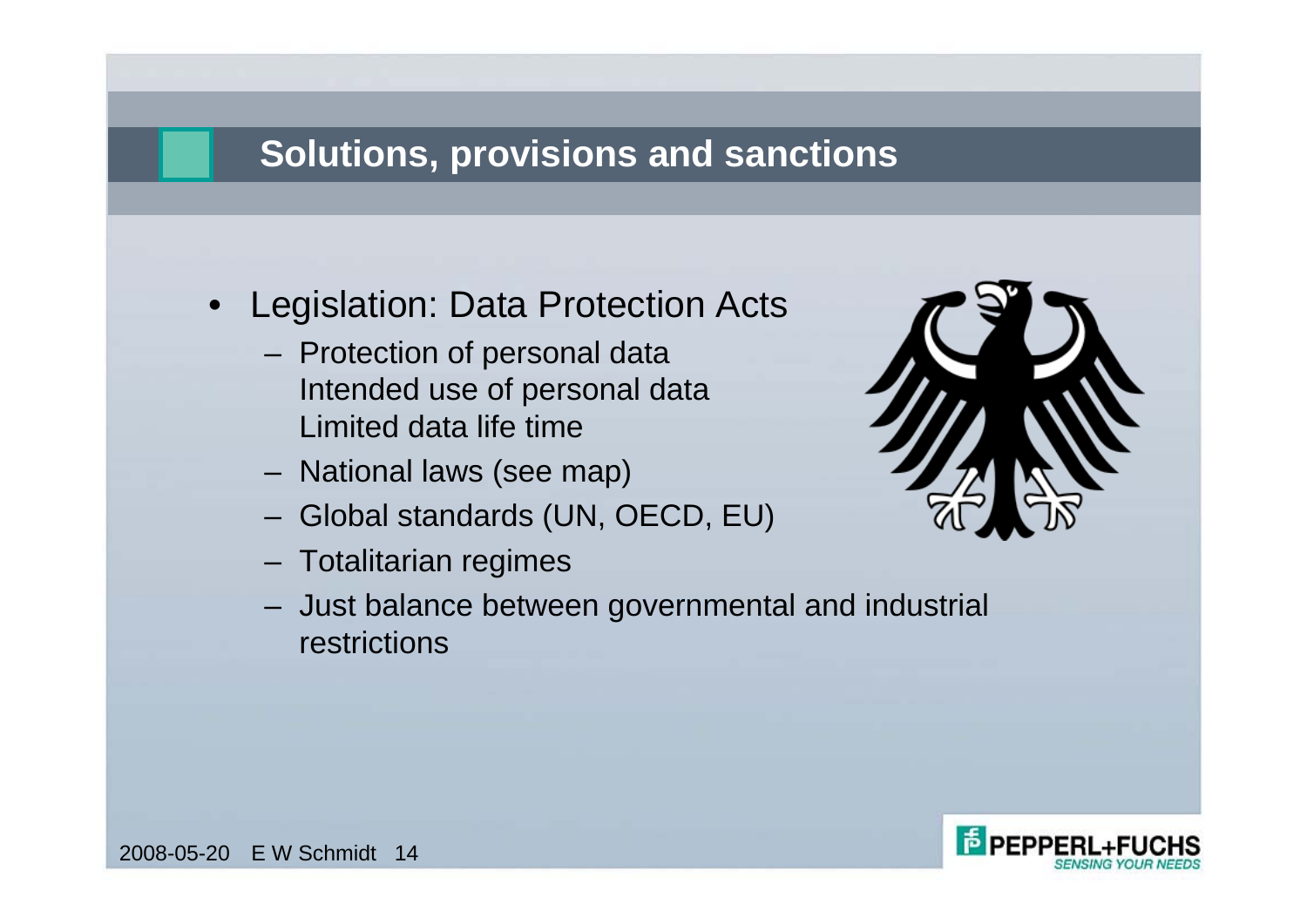# **Solutions, provisions and sanctions**

- Legislation: Data Protection Acts
	- Protection of personal data Intended use of personal data Limited data life time
	- National laws (see map)
	- Global standards (UN, OECD, EU)
	- Totalitarian regimes



– Just balance between governmental and industrial restrictions

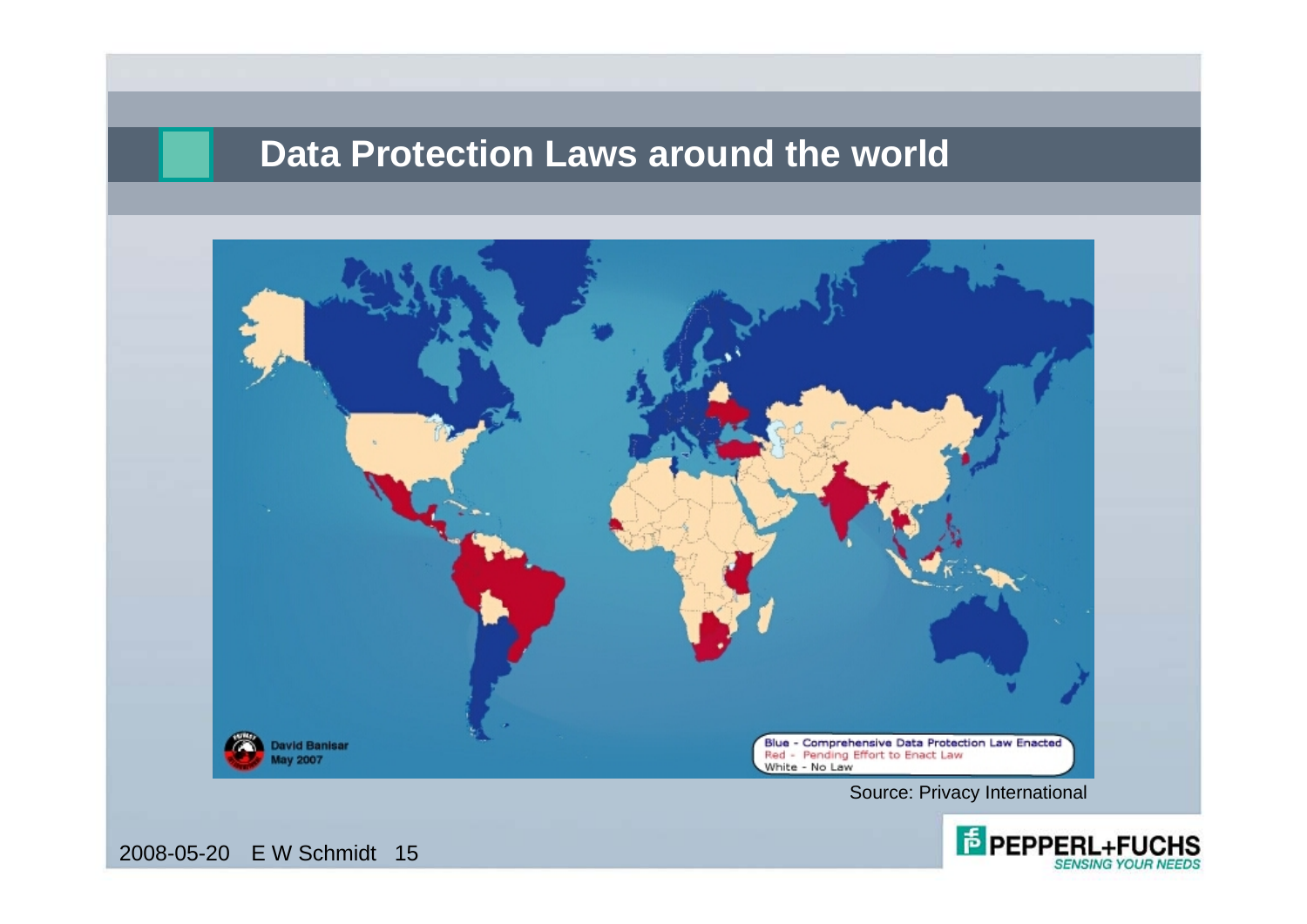#### **Data Protection Laws around the world**



Source: Privacy International

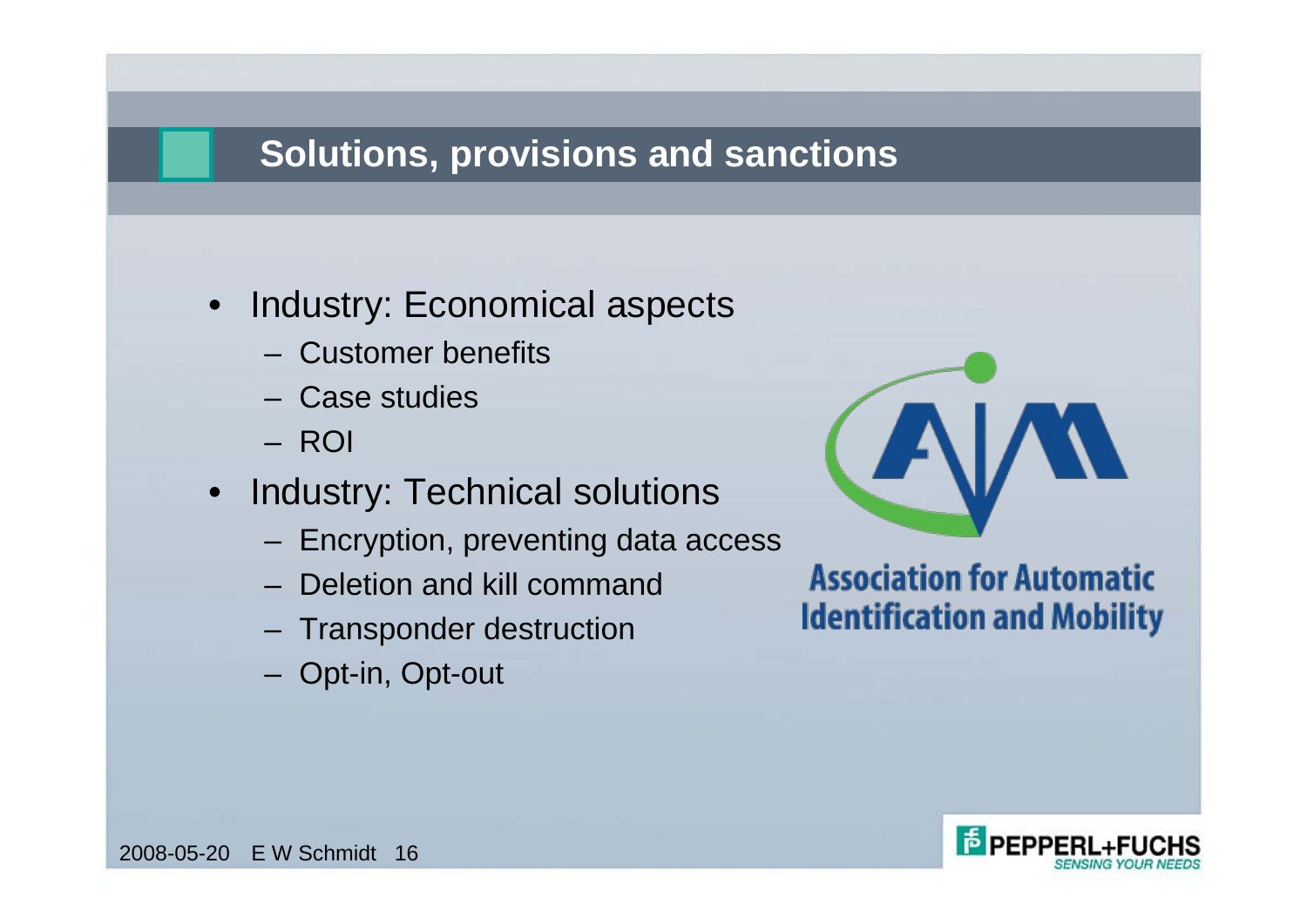### **Solutions, provisions and sanctions**

- Industry: Economical aspects
	- Customer benefits
	- Case studies
	- ROI
- Industry: Technical solutions
	- Encryption, preventing data access
	- Deletion and kill command
	- Transponder destruction
	- Opt-in, Opt-out



#### **Association for Automatic Identification and Mobility**

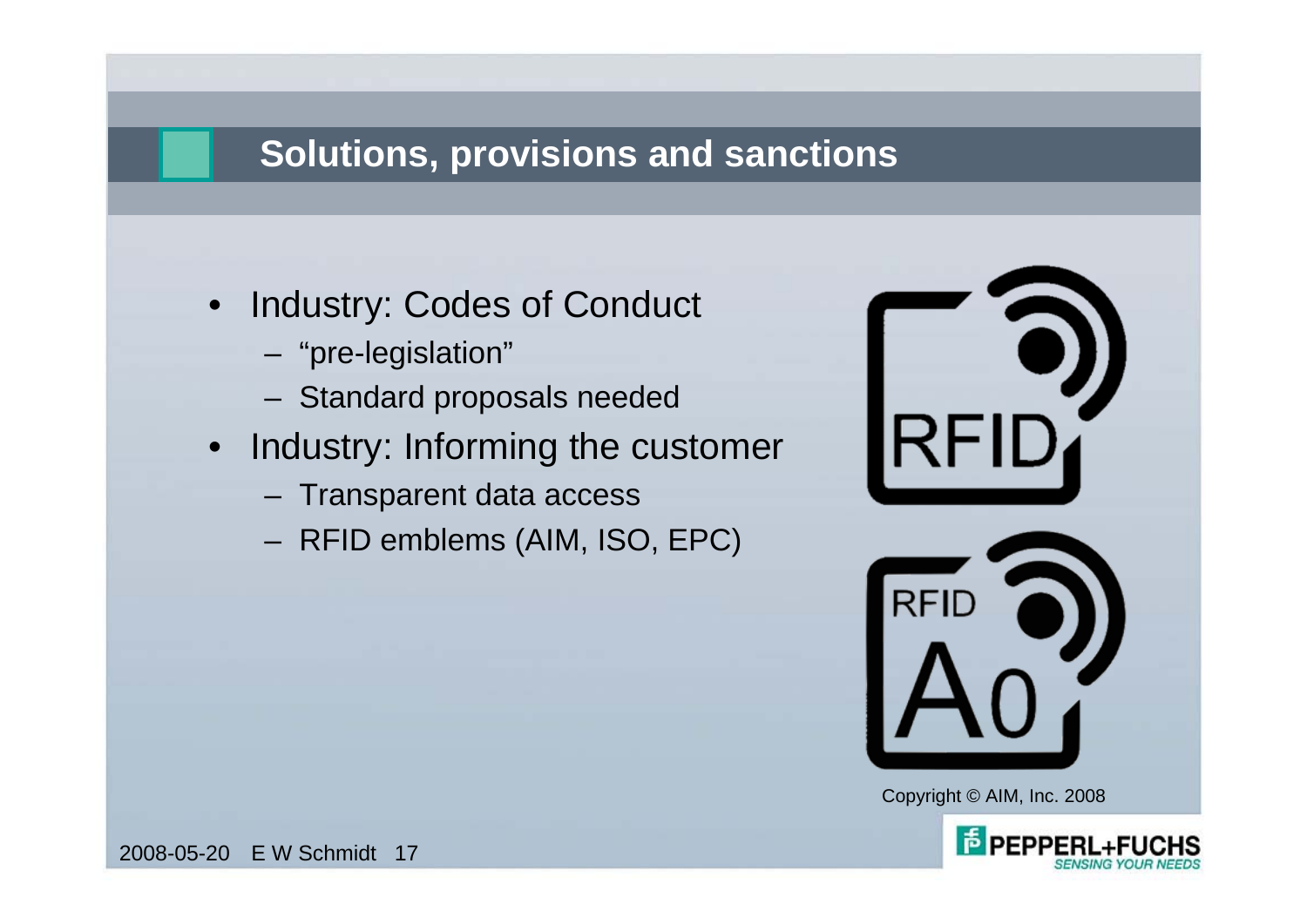# **Solutions, provisions and sanctions**

- Industry: Codes of Conduct
	- "pre-legislation"
	- Standard proposals needed
- Industry: Informing the customer
	- Transparent data access
	- RFID emblems (AIM, ISO, EPC)



Copyright © AIM, Inc. 2008